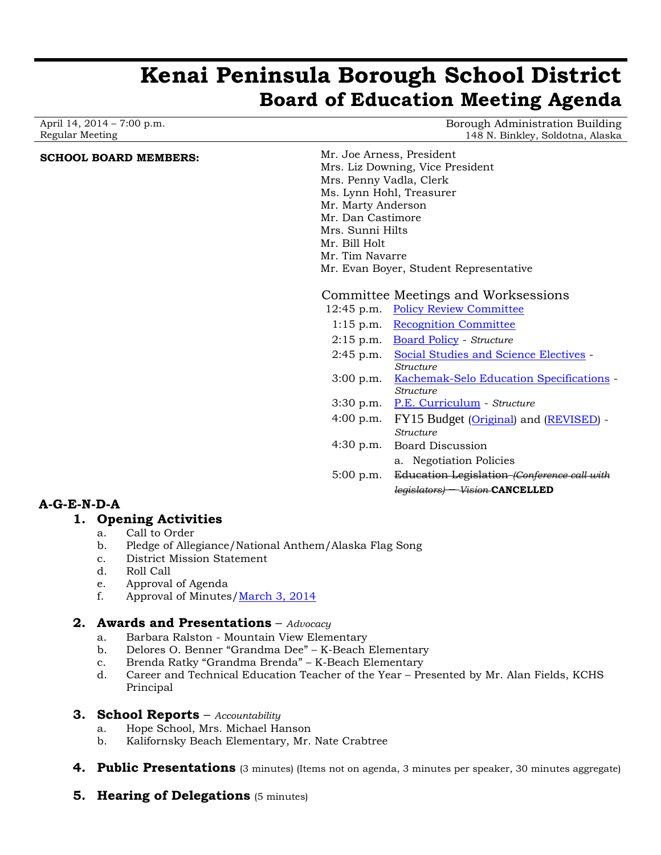# **Kenai Peninsula Borough School District Board of Education Meeting Agenda**

April 14, 2014 – 7:00 p.m. Regular Meeting

Borough Administration Building 148 N. Binkley, Soldotna, Alaska

# **SCHOOL BOARD MEMBERS:** Mr. Joe Arness, President

Mrs. Liz Downing, Vice President Mrs. Penny Vadla, Clerk Ms. Lynn Hohl, Treasurer Mr. Marty Anderson Mr. Dan Castimore Mrs. Sunni Hilts Mr. Bill Holt Mr. Tim Navarre Mr. Evan Boyer, Student Representative

# Committee Meetings and Worksessions

12:45 p.m. [Policy Review Committee](http://www.kpbsd.k12.ak.us/WorkArea/DownloadAsset.aspx?id=30378) 1:15 p.m. [Recognition Committee](http://www.kpbsd.k12.ak.us/WorkArea/DownloadAsset.aspx?id=30379) 2:15 p.m. [Board Policy](http://www.kpbsd.k12.ak.us/WorkArea/DownloadAsset.aspx?id=30404) - *Structure* 2:45 p.m. [Social Studies and Science Electives](http://www.kpbsd.k12.ak.us/WorkArea/DownloadAsset.aspx?id=30407) - *Structure* 3:00 p.m. [Kachemak-Selo Education Specifications](http://www.kpbsd.k12.ak.us/WorkArea/DownloadAsset.aspx?id=30406) - *Structure* 3:30 p.m. [P.E. Curriculum](http://www.kpbsd.k12.ak.us/WorkArea/DownloadAsset.aspx?id=30405) - *Structure* 4:00 p.m. FY15 Budget [\(Original\)](http://www.kpbsd.k12.ak.us/WorkArea/DownloadAsset.aspx?id=30403) and [\(REVISED\)](http://www.kpbsd.k12.ak.us/WorkArea/DownloadAsset.aspx?id=30421) -*Structure* 4:30 p.m. Board Discussion a. Negotiation Policies 5:00 p.m. Education Legislation *(Conference call with legislators)* – *Vision* **CANCELLED**

# **A-G-E-N-D-A**

## **1. Opening Activities**

- a. Call to Order
- b. Pledge of Allegiance/National Anthem/Alaska Flag Song
- c. District Mission Statement
- d. Roll Call
- e. Approval of Agenda
- f. Approval of Minutes[/March 3, 2014](http://www.kpbsd.k12.ak.us/WorkArea/DownloadAsset.aspx?id=30396)

# **2. Awards and Presentations** – *Advocacy*

- a. Barbara Ralston Mountain View Elementary
- b. Delores O. Benner "Grandma Dee" K-Beach Elementary
- c. Brenda Ratky "Grandma Brenda" K-Beach Elementary
- d. Career and Technical Education Teacher of the Year Presented by Mr. Alan Fields, KCHS Principal

## **3. School Reports** – *Accountability*

- a. Hope School, Mrs. Michael Hanson
- b. Kalifornsky Beach Elementary, Mr. Nate Crabtree
- **4. Public Presentations** (3 minutes) (Items not on agenda, 3 minutes per speaker, 30 minutes aggregate)
- **5. Hearing of Delegations** (5 minutes)